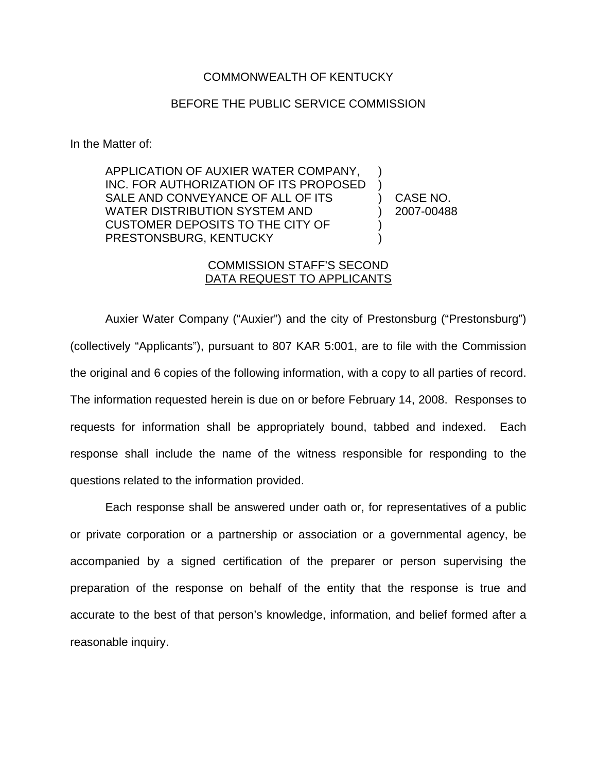## COMMONWEALTH OF KENTUCKY

## BEFORE THE PUBLIC SERVICE COMMISSION

In the Matter of:

APPLICATION OF AUXIER WATER COMPANY, INC. FOR AUTHORIZATION OF ITS PROPOSED SALE AND CONVEYANCE OF ALL OF ITS WATER DISTRIBUTION SYSTEM AND CUSTOMER DEPOSITS TO THE CITY OF PRESTONSBURG, KENTUCKY ) ) ) CASE NO. ) 2007-00488 ) )

## COMMISSION STAFF'S SECOND DATA REQUEST TO APPLICANTS

Auxier Water Company ("Auxier") and the city of Prestonsburg ("Prestonsburg") (collectively "Applicants"), pursuant to 807 KAR 5:001, are to file with the Commission the original and 6 copies of the following information, with a copy to all parties of record. The information requested herein is due on or before February 14, 2008. Responses to requests for information shall be appropriately bound, tabbed and indexed. Each response shall include the name of the witness responsible for responding to the questions related to the information provided.

Each response shall be answered under oath or, for representatives of a public or private corporation or a partnership or association or a governmental agency, be accompanied by a signed certification of the preparer or person supervising the preparation of the response on behalf of the entity that the response is true and accurate to the best of that person's knowledge, information, and belief formed after a reasonable inquiry.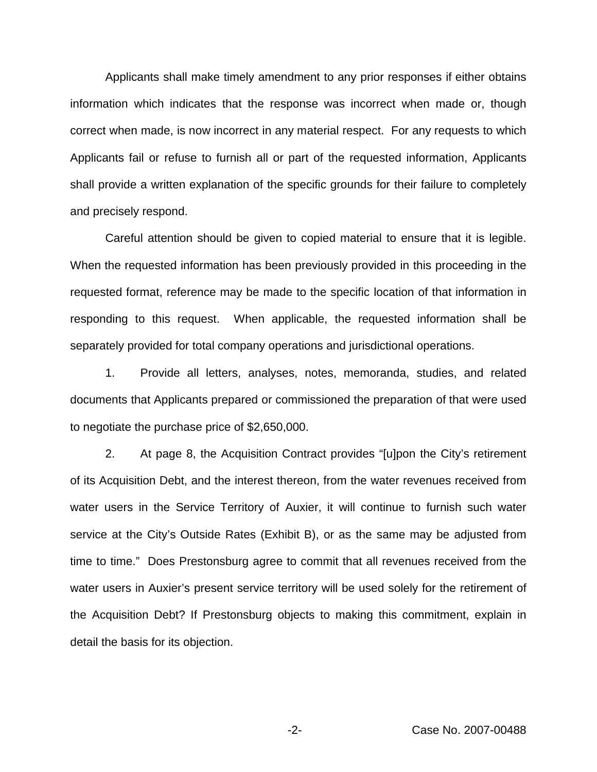Applicants shall make timely amendment to any prior responses if either obtains information which indicates that the response was incorrect when made or, though correct when made, is now incorrect in any material respect. For any requests to which Applicants fail or refuse to furnish all or part of the requested information, Applicants shall provide a written explanation of the specific grounds for their failure to completely and precisely respond.

Careful attention should be given to copied material to ensure that it is legible. When the requested information has been previously provided in this proceeding in the requested format, reference may be made to the specific location of that information in responding to this request. When applicable, the requested information shall be separately provided for total company operations and jurisdictional operations.

1. Provide all letters, analyses, notes, memoranda, studies, and related documents that Applicants prepared or commissioned the preparation of that were used to negotiate the purchase price of \$2,650,000.

2. At page 8, the Acquisition Contract provides "[u]pon the City's retirement of its Acquisition Debt, and the interest thereon, from the water revenues received from water users in the Service Territory of Auxier, it will continue to furnish such water service at the City's Outside Rates (Exhibit B), or as the same may be adjusted from time to time." Does Prestonsburg agree to commit that all revenues received from the water users in Auxier's present service territory will be used solely for the retirement of the Acquisition Debt? If Prestonsburg objects to making this commitment, explain in detail the basis for its objection.

-2- Case No. 2007-00488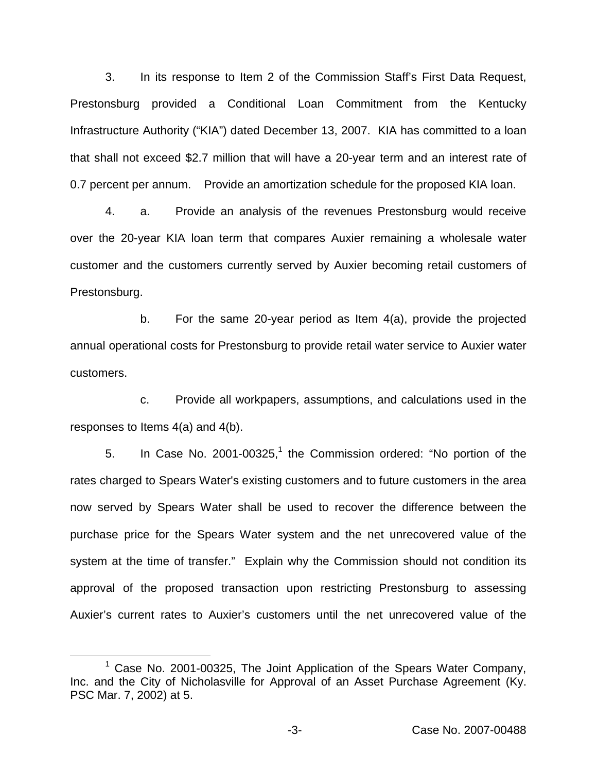3. In its response to Item 2 of the Commission Staff's First Data Request, Prestonsburg provided a Conditional Loan Commitment from the Kentucky Infrastructure Authority ("KIA") dated December 13, 2007. KIA has committed to a loan that shall not exceed \$2.7 million that will have a 20-year term and an interest rate of 0.7 percent per annum. Provide an amortization schedule for the proposed KIA loan.

4. a. Provide an analysis of the revenues Prestonsburg would receive over the 20-year KIA loan term that compares Auxier remaining a wholesale water customer and the customers currently served by Auxier becoming retail customers of Prestonsburg.

b. For the same 20-year period as Item 4(a), provide the projected annual operational costs for Prestonsburg to provide retail water service to Auxier water customers.

c. Provide all workpapers, assumptions, and calculations used in the responses to Items 4(a) and 4(b).

5. In Case No. 2001-00325,<sup>1</sup> the Commission ordered: "No portion of the rates charged to Spears Water's existing customers and to future customers in the area now served by Spears Water shall be used to recover the difference between the purchase price for the Spears Water system and the net unrecovered value of the system at the time of transfer." Explain why the Commission should not condition its approval of the proposed transaction upon restricting Prestonsburg to assessing Auxier's current rates to Auxier's customers until the net unrecovered value of the

<sup>&</sup>lt;sup>1</sup> Case No. 2001-00325, The Joint Application of the Spears Water Company, Inc. and the City of Nicholasville for Approval of an Asset Purchase Agreement (Ky. PSC Mar. 7, 2002) at 5.